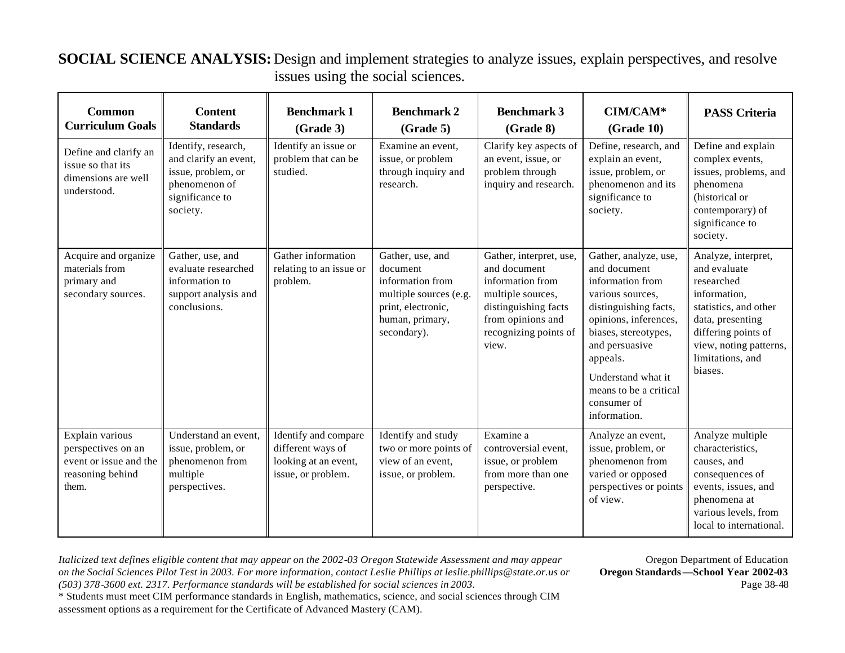## **SOCIAL SCIENCE ANALYSIS:** Design and implement strategies to analyze issues, explain perspectives, and resolve issues using the social sciences.

| <b>Common</b><br><b>Curriculum Goals</b>                                                     | <b>Content</b><br><b>Standards</b>                                                                                 | <b>Benchmark 1</b><br>(Grade 3)                                                         | <b>Benchmark 2</b><br>(Grade 5)                                                                                                    | <b>Benchmark 3</b><br>(Grade 8)                                                                                                                                 | CIM/CAM*<br>(Grade 10)                                                                                                                                                                                                                                               | <b>PASS Criteria</b>                                                                                                                                                                           |
|----------------------------------------------------------------------------------------------|--------------------------------------------------------------------------------------------------------------------|-----------------------------------------------------------------------------------------|------------------------------------------------------------------------------------------------------------------------------------|-----------------------------------------------------------------------------------------------------------------------------------------------------------------|----------------------------------------------------------------------------------------------------------------------------------------------------------------------------------------------------------------------------------------------------------------------|------------------------------------------------------------------------------------------------------------------------------------------------------------------------------------------------|
| Define and clarify an<br>issue so that its<br>dimensions are well<br>understood.             | Identify, research,<br>and clarify an event,<br>issue, problem, or<br>phenomenon of<br>significance to<br>society. | Identify an issue or<br>problem that can be<br>studied.                                 | Examine an event,<br>issue, or problem<br>through inquiry and<br>research.                                                         | Clarify key aspects of<br>an event, issue, or<br>problem through<br>inquiry and research.                                                                       | Define, research, and<br>explain an event,<br>issue, problem, or<br>phenomenon and its<br>significance to<br>society.                                                                                                                                                | Define and explain<br>complex events,<br>issues, problems, and<br>phenomena<br>(historical or<br>contemporary) of<br>significance to<br>society.                                               |
| Acquire and organize<br>materials from<br>primary and<br>secondary sources.                  | Gather, use, and<br>evaluate researched<br>information to<br>support analysis and<br>conclusions.                  | Gather information<br>relating to an issue or<br>problem.                               | Gather, use, and<br>document<br>information from<br>multiple sources (e.g.<br>print, electronic,<br>human, primary,<br>secondary). | Gather, interpret, use,<br>and document<br>information from<br>multiple sources,<br>distinguishing facts<br>from opinions and<br>recognizing points of<br>view. | Gather, analyze, use,<br>and document<br>information from<br>various sources,<br>distinguishing facts,<br>opinions, inferences,<br>biases, stereotypes,<br>and persuasive<br>appeals.<br>Understand what it<br>means to be a critical<br>consumer of<br>information. | Analyze, interpret,<br>and evaluate<br>researched<br>information,<br>statistics, and other<br>data, presenting<br>differing points of<br>view, noting patterns,<br>limitations, and<br>biases. |
| Explain various<br>perspectives on an<br>event or issue and the<br>reasoning behind<br>them. | Understand an event,<br>issue, problem, or<br>phenomenon from<br>multiple<br>perspectives.                         | Identify and compare<br>different ways of<br>looking at an event,<br>issue, or problem. | Identify and study<br>two or more points of<br>view of an event,<br>issue, or problem.                                             | Examine a<br>controversial event,<br>issue, or problem<br>from more than one<br>perspective.                                                                    | Analyze an event,<br>issue, problem, or<br>phenomenon from<br>varied or opposed<br>perspectives or points<br>of view.                                                                                                                                                | Analyze multiple<br>characteristics,<br>causes, and<br>consequences of<br>events, issues, and<br>phenomena at<br>various levels, from<br>local to international.                               |

*Italicized text defines eligible content that may appear on the 2002-03 Oregon Statewide Assessment and may appear* Oregon Department of Education *on the Social Sciences Pilot Test in 2003. For more information, contact Leslie Phillips at leslie.phillips@state.or.us or* **Oregon Standards —School Year 2002-03**  *(503) 378-3600 ext. 2317. Performance standards will be established for social sciences in 2003.* Page 38-48

\* Students must meet CIM performance standards in English, mathematics, science, and social sciences through CIM assessment options as a requirement for the Certificate of Advanced Mastery (CAM).